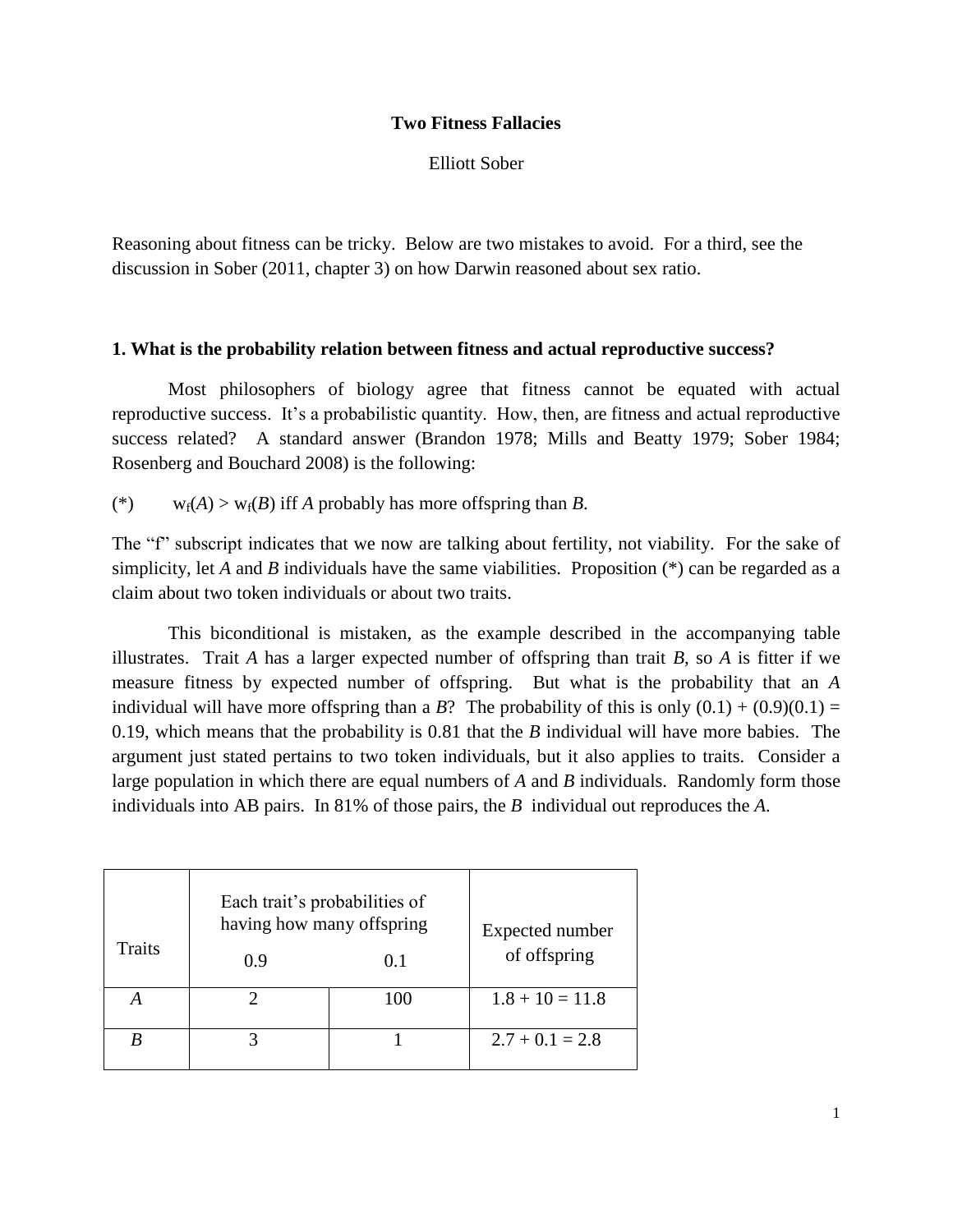## **Two Fitness Fallacies**

Elliott Sober

Reasoning about fitness can be tricky. Below are two mistakes to avoid. For a third, see the discussion in Sober (2011, chapter 3) on how Darwin reasoned about sex ratio.

## **1. What is the probability relation between fitness and actual reproductive success?**

Most philosophers of biology agree that fitness cannot be equated with actual reproductive success. It's a probabilistic quantity. How, then, are fitness and actual reproductive success related? A standard answer (Brandon 1978; Mills and Beatty 1979; Sober 1984; Rosenberg and Bouchard 2008) is the following:

(\*)  $w_f(A) > w_f(B)$  iff *A* probably has more offspring than *B*.

The "f" subscript indicates that we now are talking about fertility, not viability. For the sake of simplicity, let *A* and *B* individuals have the same viabilities. Proposition (\*) can be regarded as a claim about two token individuals or about two traits.

This biconditional is mistaken, as the example described in the accompanying table illustrates. Trait *A* has a larger expected number of offspring than trait *B*, so *A* is fitter if we measure fitness by expected number of offspring. But what is the probability that an *A* individual will have more offspring than a *B*? The probability of this is only  $(0.1) + (0.9)(0.1) =$ 0.19, which means that the probability is 0.81 that the *B* individual will have more babies. The argument just stated pertains to two token individuals, but it also applies to traits. Consider a large population in which there are equal numbers of *A* and *B* individuals. Randomly form those individuals into AB pairs. In 81% of those pairs, the *B* individual out reproduces the *A*.

| <b>Traits</b> | Each trait's probabilities of<br>having how many offspring<br>0.9 | Expected number<br>of offspring |                   |
|---------------|-------------------------------------------------------------------|---------------------------------|-------------------|
|               |                                                                   | 100                             | $1.8 + 10 = 11.8$ |
|               |                                                                   |                                 | $2.7 + 0.1 = 2.8$ |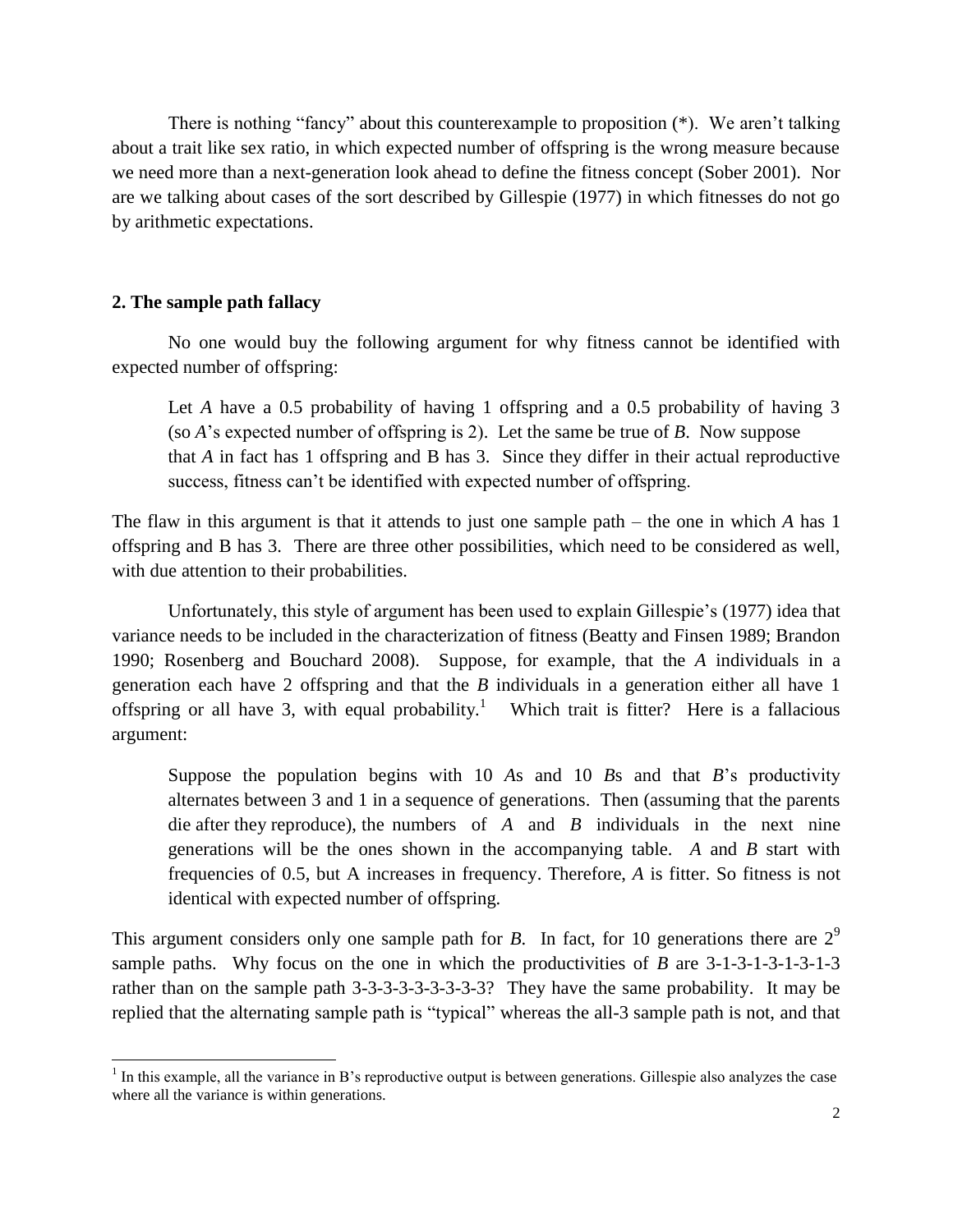There is nothing "fancy" about this counterexample to proposition (\*). We aren't talking about a trait like sex ratio, in which expected number of offspring is the wrong measure because we need more than a next-generation look ahead to define the fitness concept (Sober 2001). Nor are we talking about cases of the sort described by Gillespie (1977) in which fitnesses do not go by arithmetic expectations.

## **2. The sample path fallacy**

l

No one would buy the following argument for why fitness cannot be identified with expected number of offspring:

Let *A* have a 0.5 probability of having 1 offspring and a 0.5 probability of having 3 (so *A*'s expected number of offspring is 2). Let the same be true of *B*. Now suppose that *A* in fact has 1 offspring and B has 3. Since they differ in their actual reproductive success, fitness can't be identified with expected number of offspring.

The flaw in this argument is that it attends to just one sample path – the one in which *A* has 1 offspring and B has 3. There are three other possibilities, which need to be considered as well, with due attention to their probabilities.

Unfortunately, this style of argument has been used to explain Gillespie's (1977) idea that variance needs to be included in the characterization of fitness (Beatty and Finsen 1989; Brandon 1990; Rosenberg and Bouchard 2008). Suppose, for example, that the *A* individuals in a generation each have 2 offspring and that the *B* individuals in a generation either all have 1 offspring or all have 3, with equal probability.<sup>1</sup> Which trait is fitter? Here is a fallacious argument:

Suppose the population begins with 10 *A*s and 10 *B*s and that *B*'s productivity alternates between 3 and 1 in a sequence of generations. Then (assuming that the parents die after they reproduce), the numbers of *A* and *B* individuals in the next nine generations will be the ones shown in the accompanying table. *A* and *B* start with frequencies of 0.5, but A increases in frequency. Therefore, *A* is fitter. So fitness is not identical with expected number of offspring.

This argument considers only one sample path for *B*. In fact, for 10 generations there are  $2^9$ sample paths. Why focus on the one in which the productivities of *B* are 3-1-3-1-3-1-3-1-3 rather than on the sample path 3-3-3-3-3-3-3-3-3? They have the same probability. It may be replied that the alternating sample path is "typical" whereas the all-3 sample path is not, and that

 $<sup>1</sup>$  In this example, all the variance in B's reproductive output is between generations. Gillespie also analyzes the case</sup> where all the variance is within generations.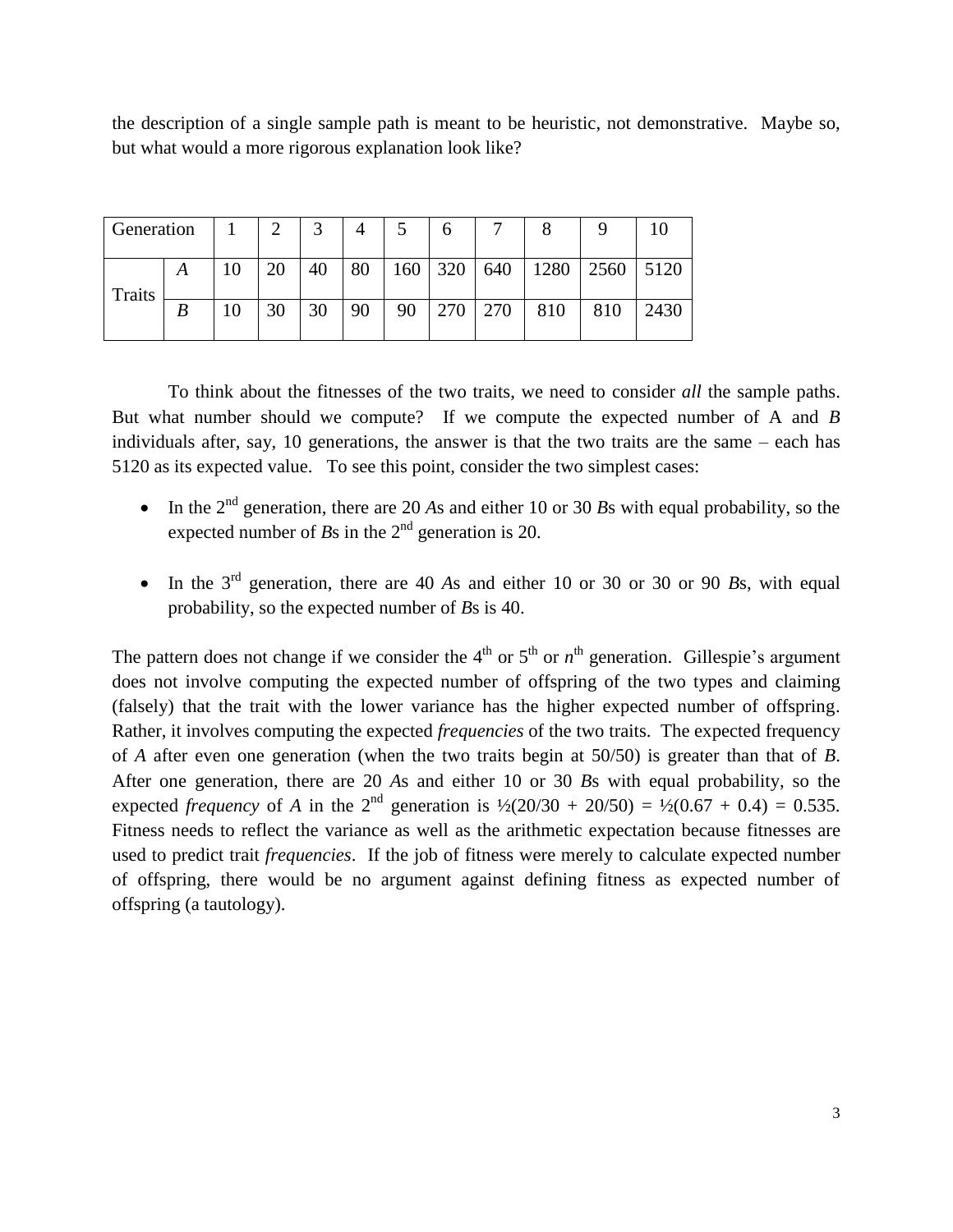the description of a single sample path is meant to be heuristic, not demonstrative. Maybe so, but what would a more rigorous explanation look like?

| Generation    |   | 2  | 3  | 4  |     | h         |     |      |      |      |
|---------------|---|----|----|----|-----|-----------|-----|------|------|------|
| <b>Traits</b> | A | 20 | 40 | 80 | 160 | 320   640 |     | 1280 | 2560 | 5120 |
|               |   | 30 | 30 | 90 | 90  | 270       | 270 | 810  | 810  | 2430 |

To think about the fitnesses of the two traits, we need to consider *all* the sample paths. But what number should we compute? If we compute the expected number of A and *B* individuals after, say, 10 generations, the answer is that the two traits are the same – each has 5120 as its expected value. To see this point, consider the two simplest cases:

- In the  $2<sup>nd</sup>$  generation, there are 20 *As* and either 10 or 30 *Bs* with equal probability, so the expected number of  $B_s$  in the  $2<sup>nd</sup>$  generation is 20.
- In the  $3<sup>rd</sup>$  generation, there are 40 *As* and either 10 or 30 or 30 or 90 *Bs*, with equal probability, so the expected number of *B*s is 40.

The pattern does not change if we consider the  $4<sup>th</sup>$  or  $5<sup>th</sup>$  or  $n<sup>th</sup>$  generation. Gillespie's argument does not involve computing the expected number of offspring of the two types and claiming (falsely) that the trait with the lower variance has the higher expected number of offspring. Rather, it involves computing the expected *frequencies* of the two traits. The expected frequency of *A* after even one generation (when the two traits begin at 50/50) is greater than that of *B*. After one generation, there are 20 *A*s and either 10 or 30 *B*s with equal probability, so the expected *frequency* of *A* in the 2<sup>nd</sup> generation is  $\frac{1}{2}(20/30 + 20/50) = \frac{1}{2}(0.67 + 0.4) = 0.535$ . Fitness needs to reflect the variance as well as the arithmetic expectation because fitnesses are used to predict trait *frequencies*. If the job of fitness were merely to calculate expected number of offspring, there would be no argument against defining fitness as expected number of offspring (a tautology).